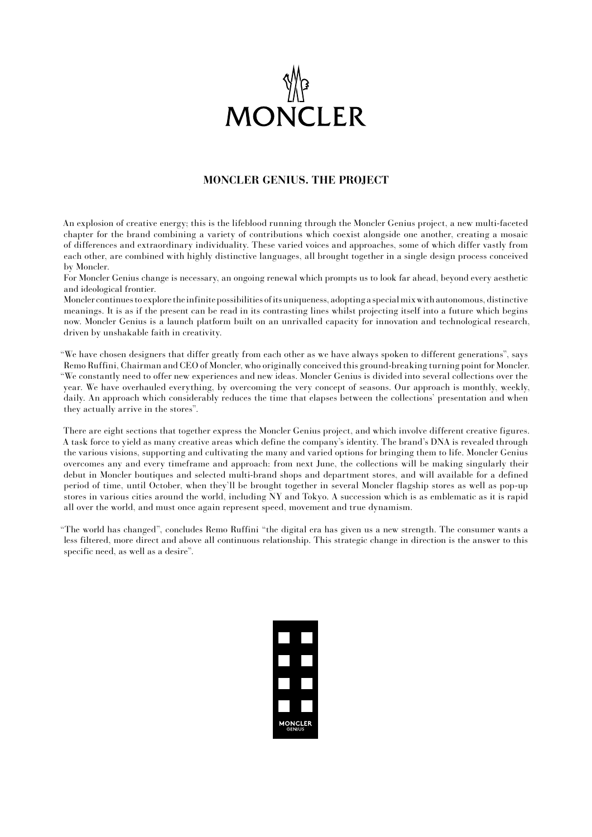

## **MONCLER GENIUS. THE PROJECT**

An explosion of creative energy; this is the lifeblood running through the Moncler Genius project, a new multi-faceted chapter for the brand combining a variety of contributions which coexist alongside one another, creating a mosaic of differences and extraordinary individuality. These varied voices and approaches, some of which differ vastly from each other, are combined with highly distinctive languages, all brought together in a single design process conceived by Moncler.

For Moncler Genius change is necessary, an ongoing renewal which prompts us to look far ahead, beyond every aesthetic and ideological frontier.

Moncler continues to explore the infinite possibilities of its uniqueness, adopting a special mix with autonomous, distinctive meanings. It is as if the present can be read in its contrasting lines whilst projecting itself into a future which begins now. Moncler Genius is a launch platform built on an unrivalled capacity for innovation and technological research, driven by unshakable faith in creativity.

"We have chosen designers that differ greatly from each other as we have always spoken to different generations", says Remo Ruffini, Chairman and CEO of Moncler, who originally conceived this ground-breaking turning point for Moncler. "We constantly need to offer new experiences and new ideas. Moncler Genius is divided into several collections over the year. We have overhauled everything, by overcoming the very concept of seasons. Our approach is monthly, weekly, daily. An approach which considerably reduces the time that elapses between the collections' presentation and when they actually arrive in the stores".

There are eight sections that together express the Moncler Genius project, and which involve different creative figures. A task force to yield as many creative areas which define the company's identity. The brand's DNA is revealed through the various visions, supporting and cultivating the many and varied options for bringing them to life. Moncler Genius overcomes any and every timeframe and approach: from next June, the collections will be making singularly their debut in Moncler boutiques and selected multi-brand shops and department stores, and will available for a defined period of time, until October, when they'll be brought together in several Moncler flagship stores as well as pop-up stores in various cities around the world, including NY and Tokyo. A succession which is as emblematic as it is rapid all over the world, and must once again represent speed, movement and true dynamism.

"The world has changed", concludes Remo Ruffini "the digital era has given us a new strength. The consumer wants a less filtered, more direct and above all continuous relationship. This strategic change in direction is the answer to this specific need, as well as a desire".